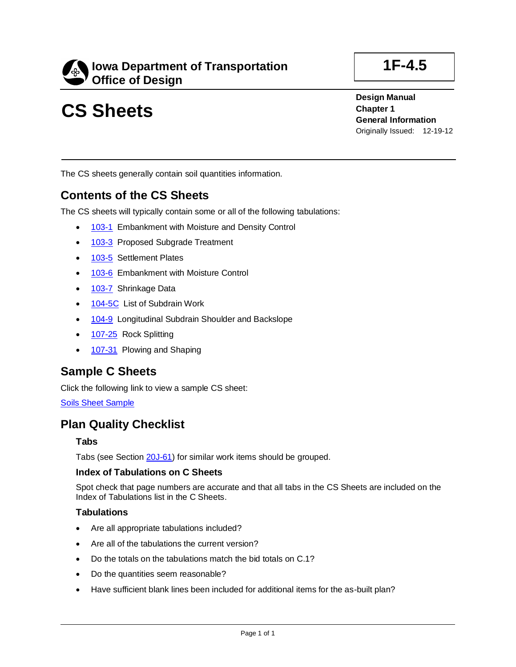

# **CS Sheets**

**Design Manual Chapter 1 General Information** Originally Issued: 12-19-12

The CS sheets generally contain soil quantities information.

## **Contents of the CS Sheets**

The CS sheets will typically contain some or all of the following tabulations:

- [103-1](../tnt/PDFsandWebFiles/IndividualPDFs/0103-01.PDF) Embankment with Moisture and Density Control
- [103-3](../tnt/PDFsandWebFiles/IndividualPDFs/0103-03.PDF) Proposed Subgrade Treatment
- [103-5](../tnt/PDFsandWebFiles/IndividualPDFs/0103-05.PDF) Settlement Plates
- [103-6](../tnt/PDFsandWebFiles/IndividualPDFs/0103-06.pdf) Embankment with Moisture Control
- [103-7](../tnt/PDFsandWebFiles/IndividualPDFs/0103-07.PDF) Shrinkage Data
- [104-5C](../tnt/PDFsandWebFiles/IndividualPDFs/0104-05C.PDF) List of Subdrain Work
- [104-9](../tnt/PDFsandWebFiles/IndividualPDFs/0104-09.PDF) Longitudinal Subdrain Shoulder and Backslope
- [107-25](../tnt/PDFsandWebFiles/IndividualPDFs/0107-25.PDF) Rock Splitting
- [107-31](../tnt/PDFsandWebFiles/IndividualPDFs/0107-31.pdf) Plowing and Shaping

### **Sample C Sheets**

Click the following link to view a sample CS sheet:

**[Soils Sheet Sample](01f-04.5/SoilsSheetSample.pdf)** 

## **Plan Quality Checklist**

#### **Tabs**

Tabs (see Section [20J-61\)](20j-61.pdf) for similar work items should be grouped.

#### **Index of Tabulations on C Sheets**

Spot check that page numbers are accurate and that all tabs in the CS Sheets are included on the Index of Tabulations list in the C Sheets.

#### **Tabulations**

- Are all appropriate tabulations included?
- Are all of the tabulations the current version?
- Do the totals on the tabulations match the bid totals on C.1?
- Do the quantities seem reasonable?
- Have sufficient blank lines been included for additional items for the as-built plan?

## **1F-4.5**